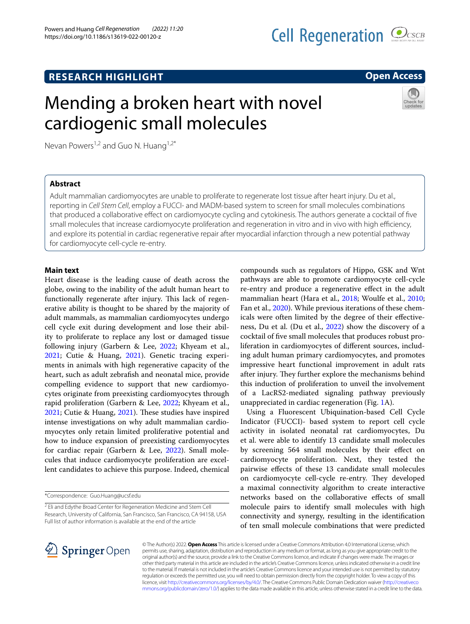# **RESEARCH HIGHLIGHT**

# Mending a broken heart with novel cardiogenic small molecules

Nevan Powers<sup>1,2</sup> and Guo N. Huang<sup>1,2\*</sup>

# **Abstract**

Adult mammalian cardiomyocytes are unable to proliferate to regenerate lost tissue after heart injury. Du et al., reporting in *Cell Stem Cell*, employ a FUCCI- and MADM-based system to screen for small molecules combinations that produced a collaborative efect on cardiomyocyte cycling and cytokinesis. The authors generate a cocktail of fve small molecules that increase cardiomyocyte proliferation and regeneration in vitro and in vivo with high efficiency, and explore its potential in cardiac regenerative repair after myocardial infarction through a new potential pathway for cardiomyocyte cell-cycle re-entry.

## **Main text**

Heart disease is the leading cause of death across the globe, owing to the inability of the adult human heart to functionally regenerate after injury. This lack of regenerative ability is thought to be shared by the majority of adult mammals, as mammalian cardiomyocytes undergo cell cycle exit during development and lose their ability to proliferate to replace any lost or damaged tissue following injury (Garbern & Lee, [2022](#page-2-0); Khyeam et al., [2021](#page-3-0); Cutie & Huang, [2021](#page-2-1)). Genetic tracing experiments in animals with high regenerative capacity of the heart, such as adult zebrafsh and neonatal mice, provide compelling evidence to support that new cardiomyocytes originate from preexisting cardiomyocytes through rapid proliferation (Garbern & Lee, [2022](#page-2-0); Khyeam et al., [2021](#page-2-1); Cutie & Huang, 2021). These studies have inspired intense investigations on why adult mammalian cardiomyocytes only retain limited proliferative potential and how to induce expansion of preexisting cardiomyocytes for cardiac repair (Garbern & Lee, [2022\)](#page-2-0). Small molecules that induce cardiomyocyte proliferation are excellent candidates to achieve this purpose. Indeed, chemical

\*Correspondence: Guo.Huang@ucsf.edu

compounds such as regulators of Hippo, GSK and Wnt pathways are able to promote cardiomyocyte cell-cycle re-entry and produce a regenerative efect in the adult mammalian heart (Hara et al., [2018](#page-3-1); Woulfe et al., [2010](#page-3-2); Fan et al., [2020](#page-2-2)). While previous iterations of these chemicals were often limited by the degree of their efectiveness, Du et al. (Du et al., [2022\)](#page-2-3) show the discovery of a cocktail of fve small molecules that produces robust proliferation in cardiomyocytes of diferent sources, including adult human primary cardiomyocytes, and promotes impressive heart functional improvement in adult rats after injury. They further explore the mechanisms behind this induction of proliferation to unveil the involvement of a LacRS2-mediated signaling pathway previously unappreciated in cardiac regeneration (Fig. [1](#page-1-0)A).

Using a Fluorescent Ubiquination-based Cell Cycle Indicator (FUCCI)- based system to report cell cycle activity in isolated neonatal rat cardiomyocytes, Du et al. were able to identify 13 candidate small molecules by screening 564 small molecules by their efect on cardiomyocyte proliferation. Next, they tested the pairwise efects of these 13 candidate small molecules on cardiomyocyte cell-cycle re-entry. They developed a maximal connectivity algorithm to create interactive networks based on the collaborative efects of small molecule pairs to identify small molecules with high connectivity and synergy, resulting in the identifcation of ten small molecule combinations that were predicted

© The Author(s) 2022. **Open Access** This article is licensed under a Creative Commons Attribution 4.0 International License, which permits use, sharing, adaptation, distribution and reproduction in any medium or format, as long as you give appropriate credit to the original author(s) and the source, provide a link to the Creative Commons licence, and indicate if changes were made. The images or other third party material in this article are included in the article's Creative Commons licence, unless indicated otherwise in a credit line to the material. If material is not included in the article's Creative Commons licence and your intended use is not permitted by statutory regulation or exceeds the permitted use, you will need to obtain permission directly from the copyright holder. To view a copy of this licence, visit [http://creativecommons.org/licenses/by/4.0/.](http://creativecommons.org/licenses/by/4.0/) The Creative Commons Public Domain Dedication waiver ([http://creativeco](http://creativecommons.org/publicdomain/zero/1.0/) [mmons.org/publicdomain/zero/1.0/](http://creativecommons.org/publicdomain/zero/1.0/)) applies to the data made available in this article, unless otherwise stated in a credit line to the data.







<sup>&</sup>lt;sup>2</sup> Eli and Edythe Broad Center for Regeneration Medicine and Stem Cell Research, University of California, San Francisco, San Francisco, CA 94158, USA Full list of author information is available at the end of the article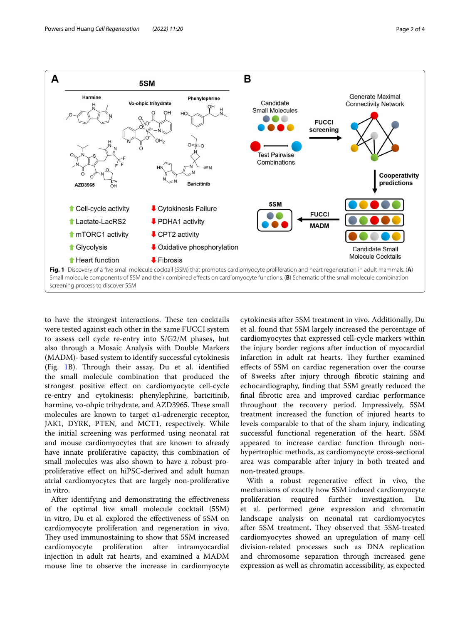

<span id="page-1-0"></span>to have the strongest interactions. These ten cocktails were tested against each other in the same FUCCI system to assess cell cycle re-entry into S/G2/M phases, but also through a Mosaic Analysis with Double Markers (MADM)- based system to identify successful cytokinesis (Fig. [1](#page-1-0)B). Through their assay, Du et al. identified the small molecule combination that produced the strongest positive efect on cardiomyocyte cell-cycle re-entry and cytokinesis: phenylephrine, baricitinib, harmine, vo-ohpic trihydrate, and AZD3965. These small molecules are known to target α1-adrenergic receptor, JAK1, DYRK, PTEN, and MCT1, respectively. While the initial screening was performed using neonatal rat and mouse cardiomyocytes that are known to already have innate proliferative capacity, this combination of small molecules was also shown to have a robust proproliferative efect on hiPSC-derived and adult human atrial cardiomyocytes that are largely non-proliferative in vitro.

After identifying and demonstrating the efectiveness of the optimal fve small molecule cocktail (5SM) in vitro, Du et al. explored the efectiveness of 5SM on cardiomyocyte proliferation and regeneration in vivo. They used immunostaining to show that 5SM increased cardiomyocyte proliferation after intramyocardial injection in adult rat hearts, and examined a MADM mouse line to observe the increase in cardiomyocyte

cytokinesis after 5SM treatment in vivo. Additionally, Du et al. found that 5SM largely increased the percentage of cardiomyocytes that expressed cell-cycle markers within the injury border regions after induction of myocardial infarction in adult rat hearts. They further examined efects of 5SM on cardiac regeneration over the course of 8weeks after injury through fbrotic staining and echocardiography, fnding that 5SM greatly reduced the fnal fbrotic area and improved cardiac performance throughout the recovery period. Impressively, 5SM treatment increased the function of injured hearts to levels comparable to that of the sham injury, indicating successful functional regeneration of the heart. 5SM appeared to increase cardiac function through nonhypertrophic methods, as cardiomyocyte cross-sectional area was comparable after injury in both treated and non-treated groups.

With a robust regenerative effect in vivo, the mechanisms of exactly how 5SM induced cardiomyocyte proliferation required further investigation. Du et al. performed gene expression and chromatin landscape analysis on neonatal rat cardiomyocytes after 5SM treatment. They observed that 5SM-treated cardiomyocytes showed an upregulation of many cell division-related processes such as DNA replication and chromosome separation through increased gene expression as well as chromatin accessibility, as expected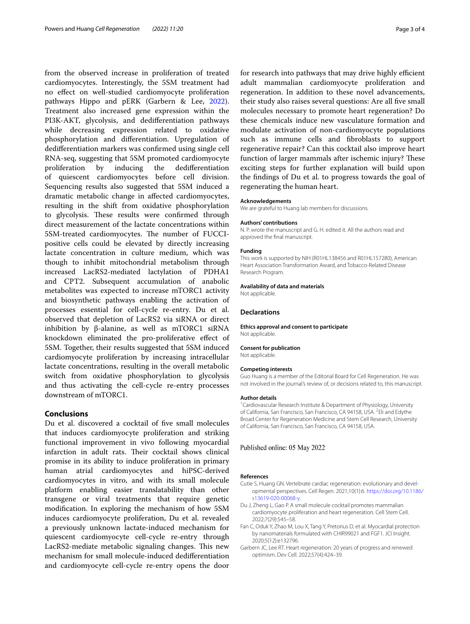from the observed increase in proliferation of treated cardiomyocytes. Interestingly, the 5SM treatment had no efect on well-studied cardiomyocyte proliferation pathways Hippo and pERK (Garbern & Lee, [2022](#page-2-0)). Treatment also increased gene expression within the PI3K-AKT, glycolysis, and dediferentiation pathways while decreasing expression related to oxidative phosphorylation and diferentiation. Upregulation of dediferentiation markers was confrmed using single cell RNA-seq, suggesting that 5SM promoted cardiomyocyte proliferation by inducing the dediferentiation of quiescent cardiomyocytes before cell division. Sequencing results also suggested that 5SM induced a dramatic metabolic change in afected cardiomyocytes, resulting in the shift from oxidative phosphorylation to glycolysis. These results were confirmed through direct measurement of the lactate concentrations within 5SM-treated cardiomyocytes. The number of FUCCIpositive cells could be elevated by directly increasing lactate concentration in culture medium, which was though to inhibit mitochondrial metabolism through increased LacRS2-mediated lactylation of PDHA1 and CPT2. Subsequent accumulation of anabolic metabolites was expected to increase mTORC1 activity and biosynthetic pathways enabling the activation of processes essential for cell-cycle re-entry. Du et al. observed that depletion of LacRS2 via siRNA or direct inhibition by β-alanine, as well as mTORC1 siRNA knockdown eliminated the pro-proliferative efect of 5SM. Together, their results suggested that 5SM induced cardiomyocyte proliferation by increasing intracellular lactate concentrations, resulting in the overall metabolic switch from oxidative phosphorylation to glycolysis and thus activating the cell-cycle re-entry processes downstream of mTORC1.

## **Conclusions**

Du et al. discovered a cocktail of five small molecules that induces cardiomyocyte proliferation and striking functional improvement in vivo following myocardial infarction in adult rats. Their cocktail shows clinical promise in its ability to induce proliferation in primary human atrial cardiomyocytes and hiPSC-derived cardiomyocytes in vitro, and with its small molecule platform enabling easier translatability than other transgene or viral treatments that require genetic modifcation. In exploring the mechanism of how 5SM induces cardiomyocyte proliferation, Du et al. revealed a previously unknown lactate-induced mechanism for quiescent cardiomyocyte cell-cycle re-entry through LacRS2-mediate metabolic signaling changes. This new mechanism for small molecule-induced dediferentiation and cardiomyocyte cell-cycle re-entry opens the door for research into pathways that may drive highly efficient adult mammalian cardiomyocyte proliferation and regeneration. In addition to these novel advancements, their study also raises several questions: Are all fve small molecules necessary to promote heart regeneration? Do these chemicals induce new vasculature formation and modulate activation of non-cardiomyocyte populations such as immune cells and fbroblasts to support regenerative repair? Can this cocktail also improve heart function of larger mammals after ischemic injury? These exciting steps for further explanation will build upon the fndings of Du et al. to progress towards the goal of regenerating the human heart.

#### **Acknowledgements**

We are grateful to Huang lab members for discussions.

#### **Authors' contributions**

N. P. wrote the manuscript and G. H. edited it. All the authors read and approved the fnal manuscript.

#### **Funding**

This work is supported by NIH (R01HL138456 and R01HL157280), American Heart Association Transformation Award, and Tobacco-Related Disease Research Program.

#### **Availability of data and materials**

Not applicable.

## **Declarations**

**Ethics approval and consent to participate** Not applicable.

#### **Consent for publication**

Not applicable.

#### **Competing interests**

Guo Huang is a member of the Editorial Board for Cell Regeneration. He was not involved in the journal's review of, or decisions related to, this manuscript.

#### **Author details**

<sup>1</sup> Cardiovascular Research Institute & Department of Physiology, University of California, San Francisco, San Francisco, CA 94158, USA. <sup>2</sup>Eli and Edythe Broad Center for Regeneration Medicine and Stem Cell Research, University of California, San Francisco, San Francisco, CA 94158, USA.

#### Published online: 05 May 2022

### **References**

- <span id="page-2-1"></span>Cutie S, Huang GN. Vertebrate cardiac regeneration: evolutionary and developmental perspectives. Cell Regen. 2021;10(1):6. [https://doi.org/10.1186/](https://doi.org/10.1186/s13619-020-00068-y) [s13619-020-00068-y.](https://doi.org/10.1186/s13619-020-00068-y)
- <span id="page-2-3"></span>Du J, Zheng L, Gao P. A small molecule cocktail promotes mammalian cardiomyocyte proliferation and heart regeneration. Cell Stem Cell. 2022;7(29):545–58.
- <span id="page-2-2"></span>Fan C, Oduk Y, Zhao M, Lou X, Tang Y, Pretorius D, et al. Myocardial protection by nanomaterials formulated with CHIR99021 and FGF1. JCI Insight. 2020;5(12):e132796.
- <span id="page-2-0"></span>Garbern JC, Lee RT. Heart regeneration: 20 years of progress and renewed optimism. Dev Cell. 2022;57(4):424–39.